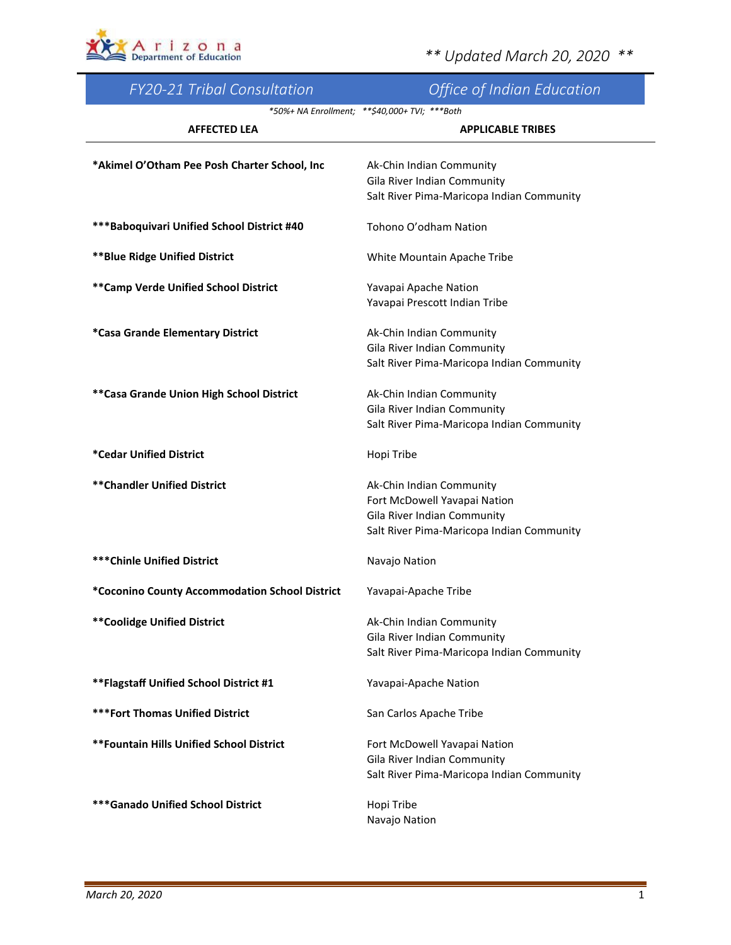

| <b>FY20-21 Tribal Consultation</b>             | Office of Indian Education                    |
|------------------------------------------------|-----------------------------------------------|
|                                                | *50%+ NA Enrollment; **\$40,000+ TVI; ***Both |
| <b>AFFECTED LEA</b>                            | <b>APPLICABLE TRIBES</b>                      |
| *Akimel O'Otham Pee Posh Charter School, Inc   | Ak-Chin Indian Community                      |
|                                                | Gila River Indian Community                   |
|                                                | Salt River Pima-Maricopa Indian Community     |
| *** Baboquivari Unified School District #40    | Tohono O'odham Nation                         |
|                                                |                                               |
| <b>**Blue Ridge Unified District</b>           | White Mountain Apache Tribe                   |
| ** Camp Verde Unified School District          | Yavapai Apache Nation                         |
|                                                | Yavapai Prescott Indian Tribe                 |
| *Casa Grande Elementary District               | Ak-Chin Indian Community                      |
|                                                | Gila River Indian Community                   |
|                                                | Salt River Pima-Maricopa Indian Community     |
| ** Casa Grande Union High School District      | Ak-Chin Indian Community                      |
|                                                | Gila River Indian Community                   |
|                                                | Salt River Pima-Maricopa Indian Community     |
| *Cedar Unified District                        | Hopi Tribe                                    |
| **Chandler Unified District                    | Ak-Chin Indian Community                      |
|                                                | Fort McDowell Yavapai Nation                  |
|                                                | Gila River Indian Community                   |
|                                                | Salt River Pima-Maricopa Indian Community     |
| <b>***Chinle Unified District</b>              | Navajo Nation                                 |
| *Coconino County Accommodation School District | Yavapai-Apache Tribe                          |
| <b>**Coolidge Unified District</b>             | Ak-Chin Indian Community                      |
|                                                | Gila River Indian Community                   |
|                                                | Salt River Pima-Maricopa Indian Community     |
| ** Flagstaff Unified School District #1        | Yavapai-Apache Nation                         |
| <b>***Fort Thomas Unified District</b>         | San Carlos Apache Tribe                       |
| **Fountain Hills Unified School District       | Fort McDowell Yavapai Nation                  |
|                                                | Gila River Indian Community                   |
|                                                | Salt River Pima-Maricopa Indian Community     |
| <b>*** Ganado Unified School District</b>      | Hopi Tribe<br>Navajo Nation                   |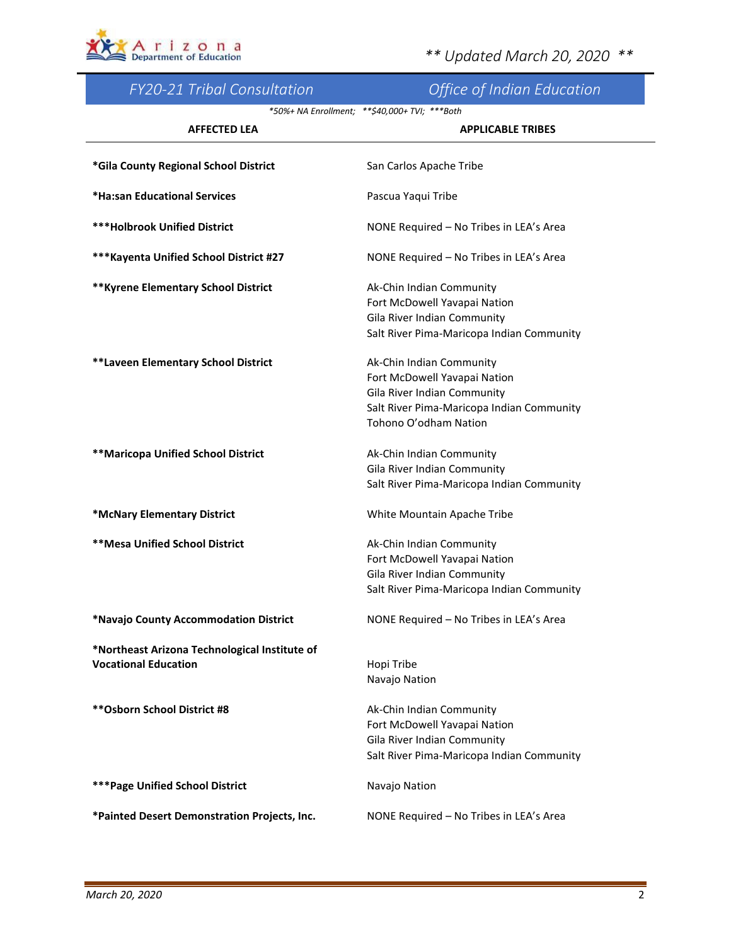

| <b>FY20-21 Tribal Consultation</b>            | <b>Office of Indian Education</b>               |
|-----------------------------------------------|-------------------------------------------------|
|                                               | *50%+ NA Enrollment; ** \$40,000+ TVI; *** Both |
| <b>AFFECTED LEA</b>                           | <b>APPLICABLE TRIBES</b>                        |
|                                               |                                                 |
| *Gila County Regional School District         | San Carlos Apache Tribe                         |
| *Ha:san Educational Services                  | Pascua Yaqui Tribe                              |
|                                               |                                                 |
| <b>***Holbrook Unified District</b>           | NONE Required - No Tribes in LEA's Area         |
| *** Kayenta Unified School District #27       | NONE Required - No Tribes in LEA's Area         |
|                                               |                                                 |
| ** Kyrene Elementary School District          | Ak-Chin Indian Community                        |
|                                               | Fort McDowell Yavapai Nation                    |
|                                               | Gila River Indian Community                     |
|                                               | Salt River Pima-Maricopa Indian Community       |
| **Laveen Elementary School District           | Ak-Chin Indian Community                        |
|                                               | Fort McDowell Yavapai Nation                    |
|                                               | Gila River Indian Community                     |
|                                               | Salt River Pima-Maricopa Indian Community       |
|                                               | Tohono O'odham Nation                           |
| <b>**Maricopa Unified School District</b>     | Ak-Chin Indian Community                        |
|                                               | Gila River Indian Community                     |
|                                               | Salt River Pima-Maricopa Indian Community       |
|                                               |                                                 |
| *McNary Elementary District                   | White Mountain Apache Tribe                     |
| <b>**Mesa Unified School District</b>         | Ak-Chin Indian Community                        |
|                                               | Fort McDowell Yavapai Nation                    |
|                                               | Gila River Indian Community                     |
|                                               | Salt River Pima-Maricopa Indian Community       |
| *Navajo County Accommodation District         | NONE Required - No Tribes in LEA's Area         |
| *Northeast Arizona Technological Institute of |                                                 |
| <b>Vocational Education</b>                   | Hopi Tribe                                      |
|                                               | Navajo Nation                                   |
|                                               |                                                 |
| ** Osborn School District #8                  | Ak-Chin Indian Community                        |
|                                               | Fort McDowell Yavapai Nation                    |
|                                               | Gila River Indian Community                     |
|                                               | Salt River Pima-Maricopa Indian Community       |
| <b>*** Page Unified School District</b>       | Navajo Nation                                   |
| *Painted Desert Demonstration Projects, Inc.  | NONE Required - No Tribes in LEA's Area         |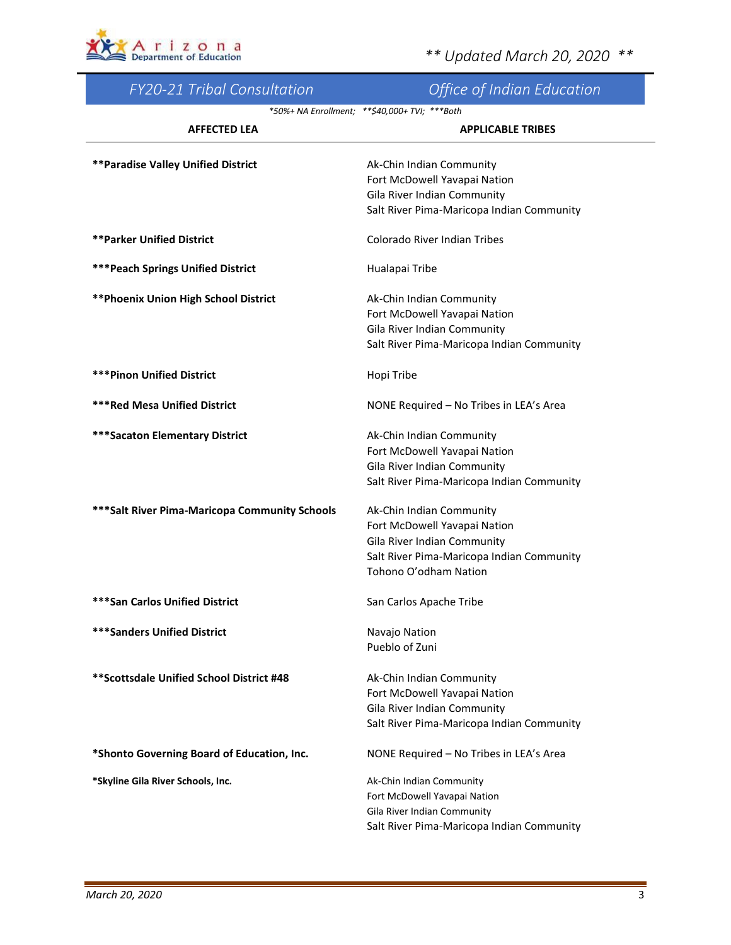

| <b>FY20-21 Tribal Consultation</b>             | <b>Office of Indian Education</b>               |
|------------------------------------------------|-------------------------------------------------|
|                                                | *50%+ NA Enrollment; ** \$40,000+ TVI; *** Both |
| <b>AFFECTED LEA</b>                            | <b>APPLICABLE TRIBES</b>                        |
| <b>**Paradise Valley Unified District</b>      | Ak-Chin Indian Community                        |
|                                                | Fort McDowell Yavapai Nation                    |
|                                                | Gila River Indian Community                     |
|                                                | Salt River Pima-Maricopa Indian Community       |
| <b>**Parker Unified District</b>               | Colorado River Indian Tribes                    |
| <b>*** Peach Springs Unified District</b>      | Hualapai Tribe                                  |
| ** Phoenix Union High School District          | Ak-Chin Indian Community                        |
|                                                | Fort McDowell Yavapai Nation                    |
|                                                | Gila River Indian Community                     |
|                                                | Salt River Pima-Maricopa Indian Community       |
| <b>***Pinon Unified District</b>               | Hopi Tribe                                      |
| <b>***Red Mesa Unified District</b>            | NONE Required - No Tribes in LEA's Area         |
| <b>***Sacaton Elementary District</b>          | Ak-Chin Indian Community                        |
|                                                | Fort McDowell Yavapai Nation                    |
|                                                | Gila River Indian Community                     |
|                                                | Salt River Pima-Maricopa Indian Community       |
| *** Salt River Pima-Maricopa Community Schools | Ak-Chin Indian Community                        |
|                                                | Fort McDowell Yavapai Nation                    |
|                                                | Gila River Indian Community                     |
|                                                | Salt River Pima-Maricopa Indian Community       |
|                                                | Tohono O'odham Nation                           |
| <b>***San Carlos Unified District</b>          | San Carlos Apache Tribe                         |
| <b>***Sanders Unified District</b>             | Navajo Nation                                   |
|                                                | Pueblo of Zuni                                  |
| **Scottsdale Unified School District #48       | Ak-Chin Indian Community                        |
|                                                | Fort McDowell Yavapai Nation                    |
|                                                | Gila River Indian Community                     |
|                                                | Salt River Pima-Maricopa Indian Community       |
| *Shonto Governing Board of Education, Inc.     | NONE Required - No Tribes in LEA's Area         |
| *Skyline Gila River Schools, Inc.              | Ak-Chin Indian Community                        |
|                                                | Fort McDowell Yavapai Nation                    |
|                                                | Gila River Indian Community                     |
|                                                | Salt River Pima-Maricopa Indian Community       |